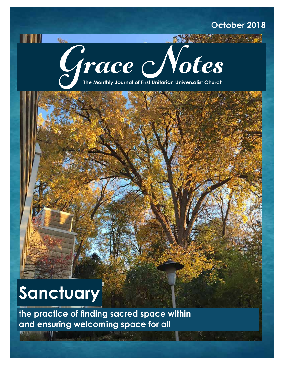# **October 2018**

Sept 2019



# **Sanctuary**

**Now** 

**the practice of finding sacred space within and ensuring welcoming space for all**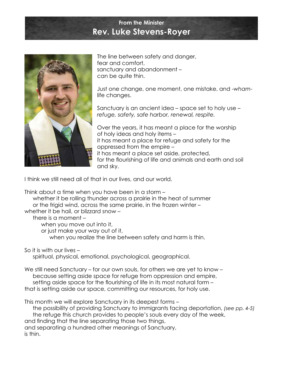## **From the Minister Rev. Luke Stevens-Royer**



The line between safety and danger, fear and comfort, sanctuary and abandonment – can be quite thin.

Just one change, one moment, one mistake, and -*wham*life changes.

Sanctuary is an ancient idea – space set to holy use – *refuge, safety, safe harbor, renewal, respite.*

Over the years, it has meant a place for the worship of holy ideas and holy items – it has meant a place for refuge and safety for the oppressed from the empire – it has meant a place set aside, protected, for the flourishing of life and animals and earth and soil and sky.

I think we still need all of that in our lives, and our world.

Think about a time when you have been in a storm –

whether it be rolling thunder across a prairie in the heat of summer or the frigid wind, across the same prairie, in the frozen winter –

whether it be hail, or blizzard snow –

there is a moment –

when you move out into it,

or just make your way out of it,

when you realize the line between safety and harm is thin.

So it is with our lives –

spiritual, physical, emotional, psychological, geographical.

We still need Sanctuary – for our own souls, for others we are yet to know – because setting aside space for refuge from oppression and empire, setting aside space for the flourishing of life in its most natural form – that is setting aside our space, committing our resources, for holy use.

This month we will explore Sanctuary in its deepest forms –

the possibility of providing Sanctuary to immigrants facing deportation, *(see pp. 4-5)* the refuge this church provides to people's souls every day of the week, and finding that the line separating those two things, and separating a hundred other meanings of Sanctuary, is thin.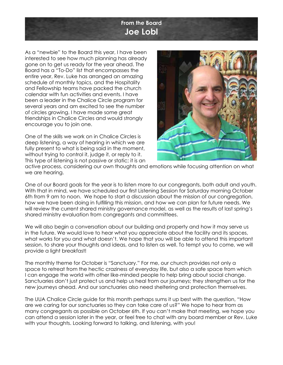## **From the Board Joe Lobl**

As a "newbie" to the Board this year, I have been interested to see how much planning has already gone on to get us ready for the year ahead. The Board has a "To-Do" list that encompasses the entire year, Rev. Luke has arranged an amazing schedule of monthly topics, and the Hospitality and Fellowship teams have packed the church calendar with fun activities and events. I have been a leader in the Chalice Circle program for several years and am excited to see the number of circles growing. I have made some great friendships in Chalice Circles and would strongly encourage you to join one.

One of the skills we work on in Chalice Circles is deep listening, a way of hearing in which we are fully present to what is being said in the moment, without trying to control it, judge it, or reply to it. This type of listening is not passive or static; it is an



active process, considering our own thoughts and emotions while focusing attention on what we are hearing.

One of our Board goals for the year is to listen more to our congregants, both adult and youth. With that in mind, we have scheduled our first Listening Session for Saturday morning October 6th from 9 am to noon. We hope to start a discussion about the mission of our congregation, how we have been doing in fulfilling this mission, and how we can plan for future needs. We will review the current shared ministry governance model, as well as the results of last spring's shared ministry evaluation from congregants and committees.

We will also begin a conversation about our building and property and how it may serve us in the future. We would love to hear what you appreciate about the facility and its spaces, what works for you and what doesn't. We hope that you will be able to attend this important session, to share your thoughts and ideas, and to listen as well. To tempt you to come, we will provide a light breakfast!

The monthly theme for October is "Sanctuary." For me, our church provides not only a space to retreat from the hectic craziness of everyday life, but also a safe space from which I can engage the world with other like-minded people to help bring about social change. Sanctuaries don't just protect us and help us heal from our journeys; they strengthen us for the new journeys ahead. And our sanctuaries also need sheltering and protection themselves.

The UUA Chalice Circle guide for this month perhaps sums it up best with the question, "How are we caring for our sanctuaries so they can take care of us?" We hope to hear from as many congregants as possible on October 6th. If you can't make that meeting, we hope you can attend a session later in the year, or feel free to chat with any board member or Rev. Luke with your thoughts. Looking forward to talking, and listening, with you!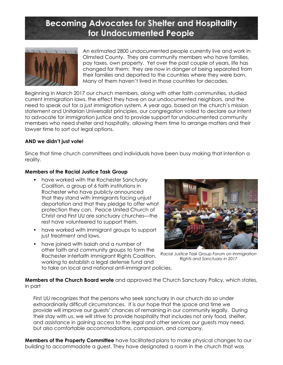# **Becoming Advocates for Shelter and Hospitality for Undocumented People**



An estimated 2800 undocumented people currently live and work in Olmsted County. They are community members who have families, pay taxes, own property. Yet over the past couple of years, life has changed for them: they are now in danger of being separated from their families and deported to the countries where they were born. Many of them haven't lived in those countries for decades.

Beginning in March 2017 our church members, along with other faith communities, studied current immigration laws, the effect they have on our undocumented neighbors, and the need to speak out for a just immigration system. A year ago, based on the church's mission statement and Unitarian Universalist principles, our congregation voted to declare our intent to advocate for immigration justice and to provide support for undocumented community members who need shelter and hospitality, allowing them time to arrange matters and their lawyer time to sort out legal options.

#### **AND we didn't just vote!**

Since that time church committees and individuals have been busy making that intention a reality.

#### **Members of the Racial Justice Task Group**

- have worked with the Rochester Sanctuary Coalition, a group of 6 faith institutions in Rochester who have publicly announced that they stand with immigrants facing unjust deportation and that they pledge to offer what protection they can. Peace United Church of Christ and First UU are sanctuary churches—the rest have volunteered to support them.
- have worked with immigrant groups to support just treatment and laws.
- have joined with Isaiah and a number of other faith and community groups to form the Rochester Interfaith Immigrant Rights Coalition, working to establish a legal defense fund and to take on local and national anti-immigrant policies.



*Racial Justice Task Group Forum on Immigration Rights and Sanctuary in 2017*

**Members of the Church Board wrote** and approved the Church Sanctuary Policy, which states, in part

First UU recognizes that the persons who seek sanctuary in our church do so under extraordinarily difficult circumstances. It is our hope that the space and time we provide will improve our guests' chances of remaining in our community legally. During their stay with us, we will strive to provide hospitality that includes not only food, shelter, and assistance in gaining access to the legal and other services our guests may need, but also comfortable accommodations, compassion, and company.

**Members of the Property Committee** have facilitated plans to make physical changes to our building to accommodate a guest. They have designated a room in the church that was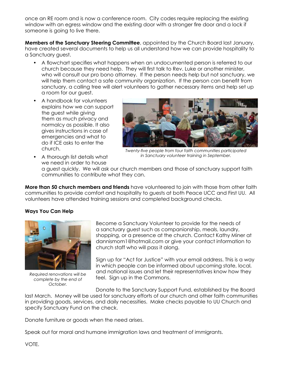once an RE room and is now a conference room. City codes require replacing the existing window with an egress window and the existing door with a stronger fire door and a lock if someone is going to live there.

**Members of the Sanctuary Steering Committee**, appointed by the Church Board last January, have created several documents to help us all understand how we can provide hospitality to a Sanctuary guest.

- A flowchart specifies what happens when an undocumented person is referred to our church because they need help. They will first talk to Rev. Luke or another minister, who will consult our pro bono attorney. If the person needs help but not sanctuary, we will help them contact a safe community organization. If the person can benefit from sanctuary, a calling tree will alert volunteers to gather necessary items and help set up a room for our guest.
- A handbook for volunteers explains how we can support the guest while giving them as much privacy and normalcy as possible. It also gives instructions in case of emergencies and what to do if ICE asks to enter the church.



*Twenty-five people from four faith communities participated in Sanctuary volunteer training in September.*

• A thorough list details what we need in order to house

a guest quickly. We will ask our church members and those of sanctuary support faith communities to contribute what they can.

**More than 50 church members and friends** have volunteered to join with those from other faith communities to provide comfort and hospitality to guests at both Peace UCC and First UU. All volunteers have attended training sessions and completed background checks.

#### **Ways You Can Help**



*Required renovations will be complete by the end of October.* 

Become a Sanctuary Volunteer to provide for the needs of a sanctuary guest such as companionship, meals, laundry, shopping, or a presence at the church. Contact Kathy Miner at dannismom1@hotmail.com or give your contact information to church staff who will pass it along.

Sign up for "Act for Justice" with your email address. This is a way in which people can be informed about upcoming state, local, and national issues and let their representatives know how they feel. Sign up in the Commons.

Donate to the Sanctuary Support Fund, established by the Board

last March. Money will be used for sanctuary efforts of our church and other faith communities in providing goods, services, and daily necessities. Make checks payable to UU Church and specify Sanctuary Fund on the check.

Donate furniture or goods when the need arises.

Speak out for moral and humane immigration laws and treatment of immigrants.

VOTE.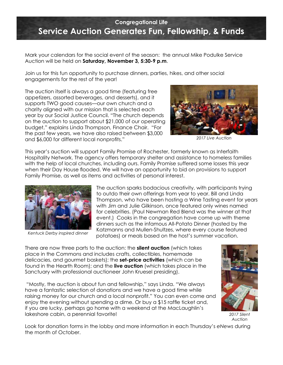## **Congregational Life Service Auction Generates Fun, Fellowship, & Funds**

Mark your calendars for the social event of the season: the annual Mike Podulke Service Auction will be held on **Saturday, November 3, 5:30-9 p.m**.

Join us for this fun opportunity to purchase dinners, parties, hikes, and other social engagements for the rest of the year!

The auction itself is always a good time (featuring free appetizers, assorted beverages, and desserts), and it supports TWO good causes—our own church and a charity aligned with our mission that is selected each year by our Social Justice Council. "The church depends on the auction to support about \$21,000 of our operating budget," explains Linda Thompson, Finance Chair. "For the past few years, we have also raised between \$3,000 and \$6,000 for different local nonprofits."



*2017 Live Auction*

This year's auction will support Family Promise of Rochester, formerly known as Interfaith Hospitality Network. The agency offers temporary shelter and assistance to homeless families with the help of local churches, including ours. Family Promise suffered some losses this year when their Day House flooded. We will have an opportunity to bid on provisions to support Family Promise, as well as items and activities of personal interest.



*Kentuck Derby inspired dinner*

The auction sparks bodacious creativity, with participants trying to outdo their own offerings from year to year. Bill and Linda Thompson, who have been hosting a Wine Tasting event for years with Jim and Julie Gilkinson, once featured only wines named for celebrities. (Paul Newman Red Blend was the winner at that event.) Cooks in the congregation have come up with theme dinners such as the infamous All-Potato Dinner (hosted by the Katzmanns and Mullen-Shultzes, where every course featured potatoes) or meals based on the host's summer vacation.

There are now three parts to the auction: the **silent auction** (which takes place in the Commons and includes crafts, collectibles, homemade delicacies, and gourmet baskets); the **set-price activities** (which can be found in the Hearth Room); and the **live auction** (which takes place in the Sanctuary with professional auctioneer John Kruesel presiding).

 "Mostly, the auction is about fun and fellowship," says Linda. "We always have a fantastic selection of donations and we have a good time while raising money for our church and a local nonprofit." You can even come and enjoy the evening without spending a dime. Or buy a \$15 raffle ticket and, if you are lucky, perhaps go home with a weekend at the MacLaughlin's lakeshore cabin, a perennial favorite!



*2017 Silent Auction*

Look for donation forms in the lobby and more information in each Thursday's *eNews* during the month of October.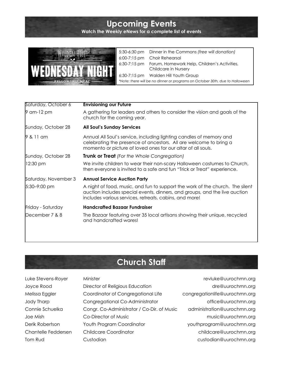# **Upcoming Events**

**Watch the Weekly eNews for a complete list of events**



5:30-6:30 pm Dinner in the Commons *(free will donation)* 6:00-7:15 pm Choir Rehearsal 6:30-7:15 pm Forum, Homework Help, Children's Activities, Childcare in Nursery 6:30-7:15 pm Walden Hill Youth Group *\*Note: there will be no dinner or programs on October 30th, due to Halloween*

| Saturday, October 6  | <b>Envisioning our Future</b>                                                                                                                                                                                         |  |
|----------------------|-----------------------------------------------------------------------------------------------------------------------------------------------------------------------------------------------------------------------|--|
| 9 am-12 pm           | A gathering for leaders and others to consider the vision and goals of the<br>church for the coming year.                                                                                                             |  |
| Sunday, October 28   | <b>All Soul's Sunday Services</b>                                                                                                                                                                                     |  |
| 9 & 11 am            | Annual All Soul's service, including lighting candles of memory and<br>celebrating the presence of ancestors. All are welcome to bring a<br>momento or picture of loved ones for our altar of all souls.              |  |
| Sunday, October 28   | <b>Trunk or Treat</b> (For the Whole Congregation)                                                                                                                                                                    |  |
| 12:30 pm             | We invite children to wear their non-scary Halloween costumes to Church,<br>then everyone is invited to a safe and fun "Trick or Treat" experience.                                                                   |  |
| Saturday, November 3 | <b>Annual Service Auction Party</b>                                                                                                                                                                                   |  |
| 5:30-9:00 pm         | A night of food, music, and fun to support the work of the church. The silent<br>auction includes special events, dinners, and groups, and the live auction<br>includes various services, retreats, cabins, and more! |  |
| Friday - Saturday    | <b>Handcrafted Bazaar Fundraiser</b>                                                                                                                                                                                  |  |
| December 7 & 8       | The Bazaar featuring over 35 local artisans showing their unique, recycled<br>and handcrafted wares!                                                                                                                  |  |
|                      |                                                                                                                                                                                                                       |  |

# **Church Staff**

| Luke Stevens-Royer  | Minister                                   | revluke@uurochmn.org          |
|---------------------|--------------------------------------------|-------------------------------|
| Joyce Rood          | Director of Religious Education            | dre@uurochmn.org              |
| Melissa Eggler      | Coordinator of Congregational Life         | congregationlife@uurochmn.org |
| Jody Tharp          | Congregational Co-Administrator            | office@uurochmn.org           |
| Connie Schuelka     | Congr. Co-Administrator / Co-Dir. of Music | administration@uurochmn.org   |
| Joe Mish            | Co-Director of Music                       | music@uurochmn.org            |
| Derik Robertson     | Youth Program Coordinator                  | youthprogram@uurochmn.org     |
| Chantelle Feddersen | <b>Childcare Coordinator</b>               | childcare@uurochmn.org        |
| Tom Rud             | Custodian                                  | custodian@uurochmn.org        |
|                     |                                            |                               |